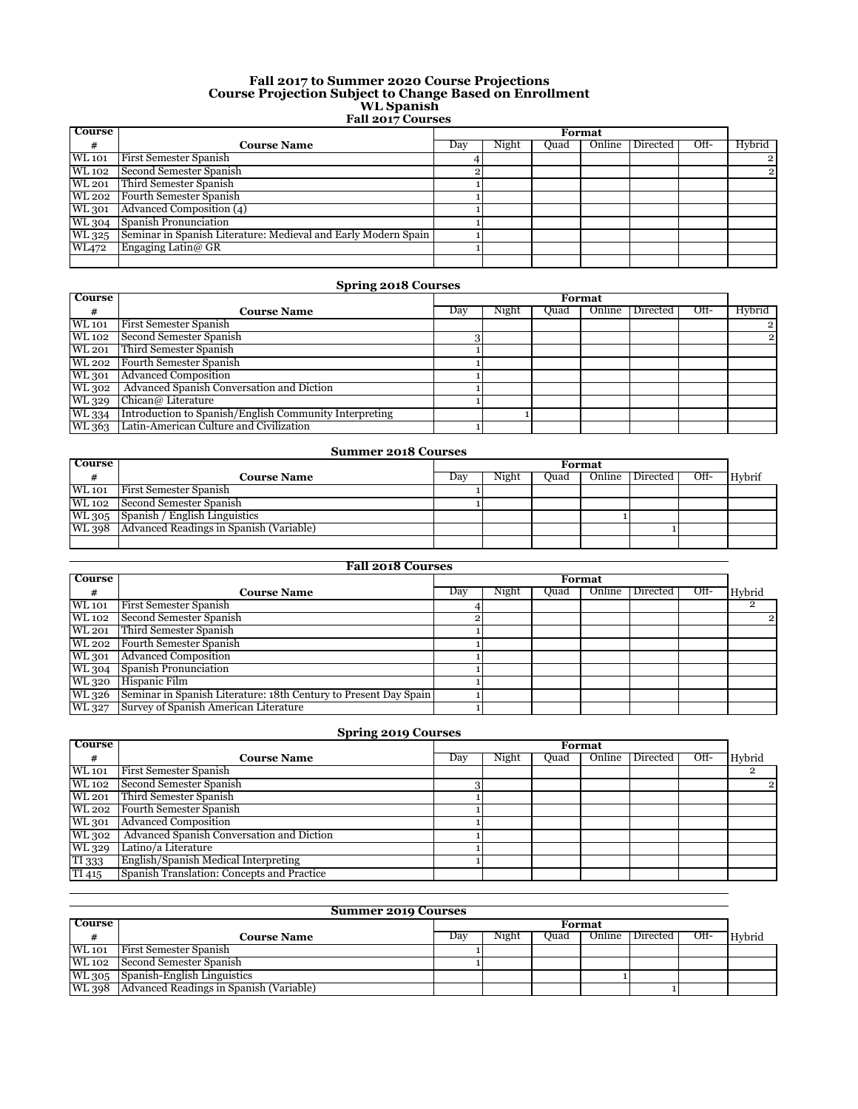### **Fall 2017 Courses Fall 2017 to Summer 2020 Course Projections WL Spanish Course Projection Subject to Change Based on Enrollment**

| <b>Course</b> |                                                                |     | Format |      |  |                 |      |                |
|---------------|----------------------------------------------------------------|-----|--------|------|--|-----------------|------|----------------|
| #             | <b>Course Name</b>                                             | Dav | Night  | Ouad |  | Online Directed | Off- | <b>Hybrid</b>  |
| <b>WL</b> 101 | <b>First Semester Spanish</b>                                  |     |        |      |  |                 |      | 2              |
|               | WL 102 Second Semester Spanish                                 |     |        |      |  |                 |      | 2 <sub>1</sub> |
| WL 201        | Third Semester Spanish                                         |     |        |      |  |                 |      |                |
|               | WL 202 Fourth Semester Spanish                                 |     |        |      |  |                 |      |                |
| WL 301        | Advanced Composition (4)                                       |     |        |      |  |                 |      |                |
|               | WL 304 Spanish Pronunciation                                   |     |        |      |  |                 |      |                |
| WL 325        | Seminar in Spanish Literature: Medieval and Early Modern Spain |     |        |      |  |                 |      |                |
| WL472         | Engaging Latin@ GR                                             |     |        |      |  |                 |      |                |
|               |                                                                |     |        |      |  |                 |      |                |

| <b>Spring 2018 Courses</b> |                                                        |     |       |      |        |          |      |                |  |  |
|----------------------------|--------------------------------------------------------|-----|-------|------|--------|----------|------|----------------|--|--|
| <b>Course</b>              |                                                        |     |       |      | Format |          |      |                |  |  |
| #                          | <b>Course Name</b>                                     | Day | Night | Ouad | Online | Directed | Off- | Hybrid         |  |  |
| <b>WL</b> 101              | <b>First Semester Spanish</b>                          |     |       |      |        |          |      | $\overline{2}$ |  |  |
| WL 102                     | Second Semester Spanish                                |     |       |      |        |          |      | $\overline{2}$ |  |  |
| WL 201                     | Third Semester Spanish                                 |     |       |      |        |          |      |                |  |  |
| WL 202                     | Fourth Semester Spanish                                |     |       |      |        |          |      |                |  |  |
|                            | WL 301 Advanced Composition                            |     |       |      |        |          |      |                |  |  |
|                            | WL 302   Advanced Spanish Conversation and Diction     |     |       |      |        |          |      |                |  |  |
| WL 329                     | Chican@ Literature                                     |     |       |      |        |          |      |                |  |  |
| WL 334                     | Introduction to Spanish/English Community Interpreting |     |       |      |        |          |      |                |  |  |
| WL 363                     | Latin-American Culture and Civilization                |     |       |      |        |          |      |                |  |  |

| <b>Summer 2018 Courses</b> |                                                |        |       |      |        |            |      |        |  |  |
|----------------------------|------------------------------------------------|--------|-------|------|--------|------------|------|--------|--|--|
| <b>Course</b>              |                                                | Format |       |      |        |            |      |        |  |  |
| #                          | <b>Course Name</b>                             | Day    | Night | Ouad | Online | Directed I | Ott- | Hybrif |  |  |
| WL 101                     | <b>First Semester Spanish</b>                  |        |       |      |        |            |      |        |  |  |
|                            | WL 102 Second Semester Spanish                 |        |       |      |        |            |      |        |  |  |
|                            | WL 305 Spanish / English Linguistics           |        |       |      |        |            |      |        |  |  |
|                            | WL 398 Advanced Readings in Spanish (Variable) |        |       |      |        |            |      |        |  |  |
|                            |                                                |        |       |      |        |            |      |        |  |  |

| <b>Fall 2018 Courses</b> |                                                                  |     |       |      |        |          |      |        |  |  |
|--------------------------|------------------------------------------------------------------|-----|-------|------|--------|----------|------|--------|--|--|
| <b>Course</b>            |                                                                  |     |       |      | Format |          |      |        |  |  |
| #                        | <b>Course Name</b>                                               | Dav | Night | Ouad | Online | Directed | Off- | Hybrid |  |  |
| <b>WL</b> 101            | <b>First Semester Spanish</b>                                    |     |       |      |        |          |      |        |  |  |
| WL 102                   | Second Semester Spanish                                          |     |       |      |        |          |      |        |  |  |
|                          | WL 201 Third Semester Spanish                                    |     |       |      |        |          |      |        |  |  |
|                          | WL 202 Fourth Semester Spanish                                   |     |       |      |        |          |      |        |  |  |
| WL 301                   | <b>Advanced Composition</b>                                      |     |       |      |        |          |      |        |  |  |
|                          | WL 304 Spanish Pronunciation                                     |     |       |      |        |          |      |        |  |  |
| WL 320                   | Hispanic Film                                                    |     |       |      |        |          |      |        |  |  |
| WL 326                   | Seminar in Spanish Literature: 18th Century to Present Day Spain |     |       |      |        |          |      |        |  |  |
| WL 327                   | Survey of Spanish American Literature                            |     |       |      |        |          |      |        |  |  |

| <b>Course</b> |                                            |     | Format |      |        |          |      |                |  |
|---------------|--------------------------------------------|-----|--------|------|--------|----------|------|----------------|--|
| #             | <b>Course Name</b>                         | Day | Night  | Ouad | Online | Directed | Off- | Hybrid         |  |
| <b>WL</b> 101 | <b>First Semester Spanish</b>              |     |        |      |        |          |      |                |  |
|               | WL 102 Second Semester Spanish             |     |        |      |        |          |      | $\overline{2}$ |  |
|               | WL 201 Third Semester Spanish              |     |        |      |        |          |      |                |  |
|               | WL 202 Fourth Semester Spanish             |     |        |      |        |          |      |                |  |
| WL 301        | <b>Advanced Composition</b>                |     |        |      |        |          |      |                |  |
| WL 302        | Advanced Spanish Conversation and Diction  |     |        |      |        |          |      |                |  |
| WL 329        | Latino/a Literature                        |     |        |      |        |          |      |                |  |
| TI 333        | English/Spanish Medical Interpreting       |     |        |      |        |          |      |                |  |
| TI 415        | Spanish Translation: Concepts and Practice |     |        |      |        |          |      |                |  |

| <b>Summer 2019 Courses</b> |                                                |     |        |      |  |                 |      |        |  |  |
|----------------------------|------------------------------------------------|-----|--------|------|--|-----------------|------|--------|--|--|
| <b>Course</b>              |                                                |     | Format |      |  |                 |      |        |  |  |
|                            | <b>Course Name</b>                             | Dav | Night  | Juad |  | Online Directed | Off- | Hybrid |  |  |
| <b>WL</b> 101              | <b>First Semester Spanish</b>                  |     |        |      |  |                 |      |        |  |  |
| WL 102                     | Second Semester Spanish                        |     |        |      |  |                 |      |        |  |  |
|                            | WL 305 Spanish-English Linguistics             |     |        |      |  |                 |      |        |  |  |
|                            | WL 398 Advanced Readings in Spanish (Variable) |     |        |      |  |                 |      |        |  |  |

# **Spring 2019 Courses**